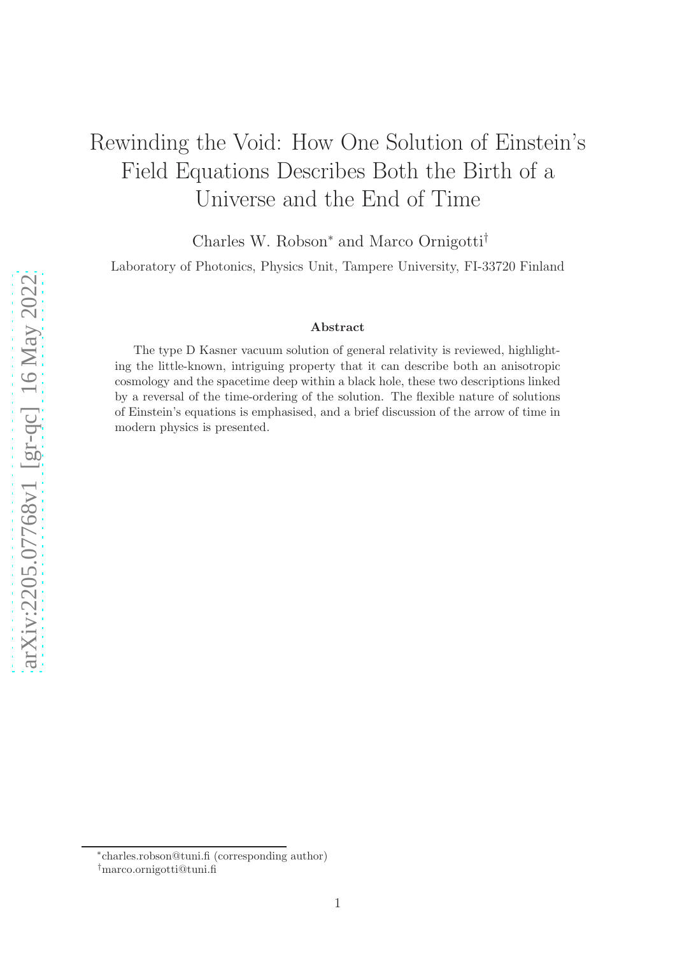# Rewinding the Void: How One Solution of Einstein's Field Equations Describes Both the Birth of a Universe and the End of Time

Charles W. Robson<sup>∗</sup> and Marco Ornigotti†

Laboratory of Photonics, Physics Unit, Tampere University, FI-33720 Finland

#### Abstract

The type D Kasner vacuum solution of general relativity is reviewed, highlighting the little-known, intriguing property that it can describe both an anisotropic cosmology and the spacetime deep within a black hole, these two descriptions linked by a reversal of the time-ordering of the solution. The flexible nature of solutions of Einstein's equations is emphasised, and a brief discussion of the arrow of time in modern physics is presented.

<sup>∗</sup> charles.robson@tuni.fi (corresponding author)

<sup>†</sup>marco.ornigotti@tuni.fi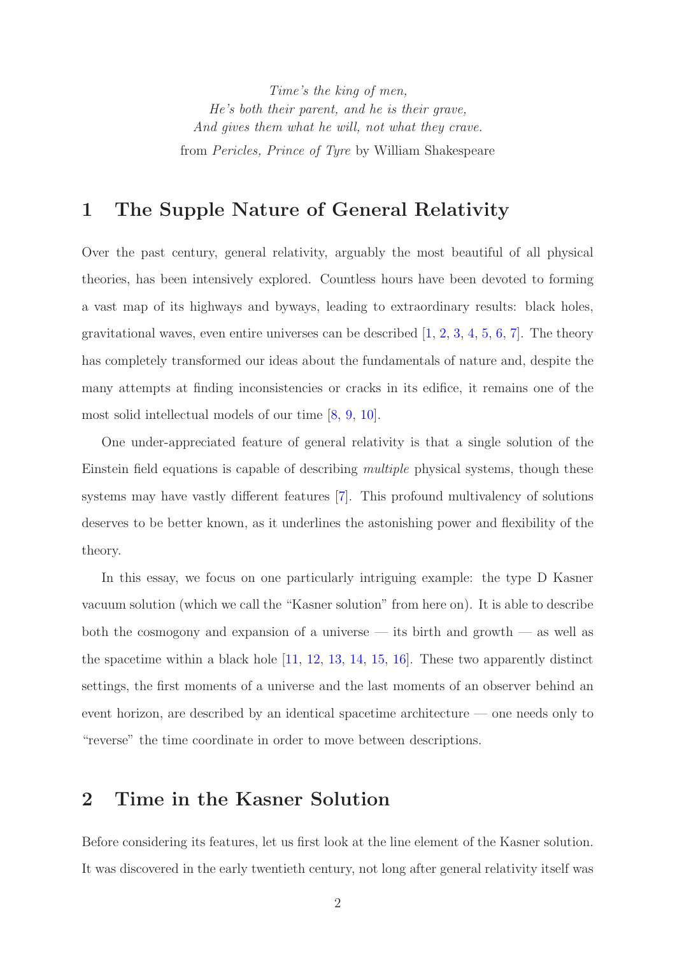*Time's the king of men, He's both their parent, and he is their grave, And gives them what he will, not what they crave.* from *Pericles, Prince of Tyre* by William Shakespeare

### <span id="page-1-0"></span>1 The Supple Nature of General Relativity

Over the past century, general relativity, arguably the most beautiful of all physical theories, has been intensively explored. Countless hours have been devoted to forming a vast map of its highways and byways, leading to extraordinary results: black holes, gravitational waves, even entire universes can be described  $[1, 2, 3, 4, 5, 6, 7]$  $[1, 2, 3, 4, 5, 6, 7]$  $[1, 2, 3, 4, 5, 6, 7]$  $[1, 2, 3, 4, 5, 6, 7]$  $[1, 2, 3, 4, 5, 6, 7]$  $[1, 2, 3, 4, 5, 6, 7]$  $[1, 2, 3, 4, 5, 6, 7]$  $[1, 2, 3, 4, 5, 6, 7]$  $[1, 2, 3, 4, 5, 6, 7]$  $[1, 2, 3, 4, 5, 6, 7]$  $[1, 2, 3, 4, 5, 6, 7]$  $[1, 2, 3, 4, 5, 6, 7]$ . The theory has completely transformed our ideas about the fundamentals of nature and, despite the many attempts at finding inconsistencies or cracks in its edifice, it remains one of the most solid intellectual models of our time [\[8,](#page-7-7) [9,](#page-7-8) [10\]](#page-7-9).

One under-appreciated feature of general relativity is that a single solution of the Einstein field equations is capable of describing *multiple* physical systems, though these systems may have vastly different features [\[7\]](#page-7-6). This profound multivalency of solutions deserves to be better known, as it underlines the astonishing power and flexibility of the theory.

In this essay, we focus on one particularly intriguing example: the type D Kasner vacuum solution (which we call the "Kasner solution" from here on). It is able to describe both the cosmogony and expansion of a universe  $-$  its birth and growth  $-$  as well as the spacetime within a black hole [\[11,](#page-7-10) [12,](#page-7-11) [13,](#page-7-12) [14,](#page-8-0) [15,](#page-8-1) [16\]](#page-8-2). These two apparently distinct settings, the first moments of a universe and the last moments of an observer behind an event horizon, are described by an identical spacetime architecture — one needs only to "reverse" the time coordinate in order to move between descriptions.

#### 2 Time in the Kasner Solution

Before considering its features, let us first look at the line element of the Kasner solution. It was discovered in the early twentieth century, not long after general relativity itself was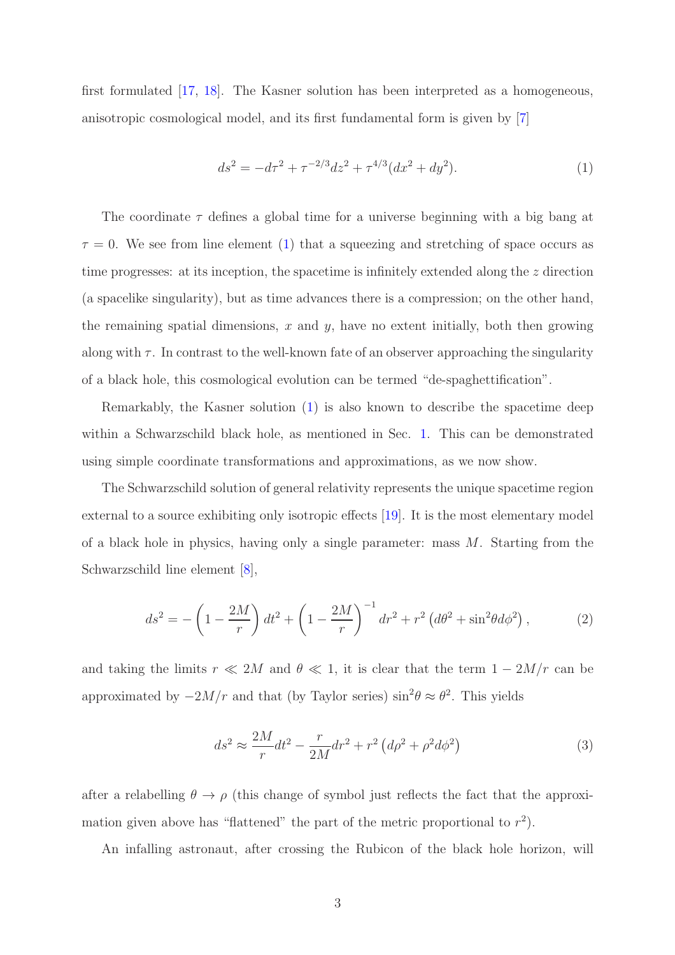first formulated [\[17,](#page-8-3) [18\]](#page-8-4). The Kasner solution has been interpreted as a homogeneous, anisotropic cosmological model, and its first fundamental form is given by [\[7\]](#page-7-6)

<span id="page-2-0"></span>
$$
ds^{2} = -d\tau^{2} + \tau^{-2/3}dz^{2} + \tau^{4/3}(dx^{2} + dy^{2}).
$$
\n(1)

The coordinate  $\tau$  defines a global time for a universe beginning with a big bang at  $\tau = 0$ . We see from line element [\(1\)](#page-2-0) that a squeezing and stretching of space occurs as time progresses: at its inception, the spacetime is infinitely extended along the z direction (a spacelike singularity), but as time advances there is a compression; on the other hand, the remaining spatial dimensions,  $x$  and  $y$ , have no extent initially, both then growing along with  $\tau$ . In contrast to the well-known fate of an observer approaching the singularity of a black hole, this cosmological evolution can be termed "de-spaghettification".

Remarkably, the Kasner solution [\(1\)](#page-2-0) is also known to describe the spacetime deep within a Schwarzschild black hole, as mentioned in Sec. [1.](#page-1-0) This can be demonstrated using simple coordinate transformations and approximations, as we now show.

The Schwarzschild solution of general relativity represents the unique spacetime region external to a source exhibiting only isotropic effects [\[19\]](#page-8-5). It is the most elementary model of a black hole in physics, having only a single parameter: mass M. Starting from the Schwarzschild line element [\[8\]](#page-7-7),

$$
ds^{2} = -\left(1 - \frac{2M}{r}\right)dt^{2} + \left(1 - \frac{2M}{r}\right)^{-1}dr^{2} + r^{2}\left(d\theta^{2} + \sin^{2}\theta d\phi^{2}\right),
$$
 (2)

and taking the limits  $r \ll 2M$  and  $\theta \ll 1$ , it is clear that the term  $1 - 2M/r$  can be approximated by  $-2M/r$  and that (by Taylor series)  $\sin^2\theta \approx \theta^2$ . This yields

<span id="page-2-1"></span>
$$
ds^2 \approx \frac{2M}{r}dt^2 - \frac{r}{2M}dr^2 + r^2\left(d\rho^2 + \rho^2 d\phi^2\right)
$$
\n<sup>(3)</sup>

after a relabelling  $\theta \to \rho$  (this change of symbol just reflects the fact that the approximation given above has "flattened" the part of the metric proportional to  $r^2$ ).

An infalling astronaut, after crossing the Rubicon of the black hole horizon, will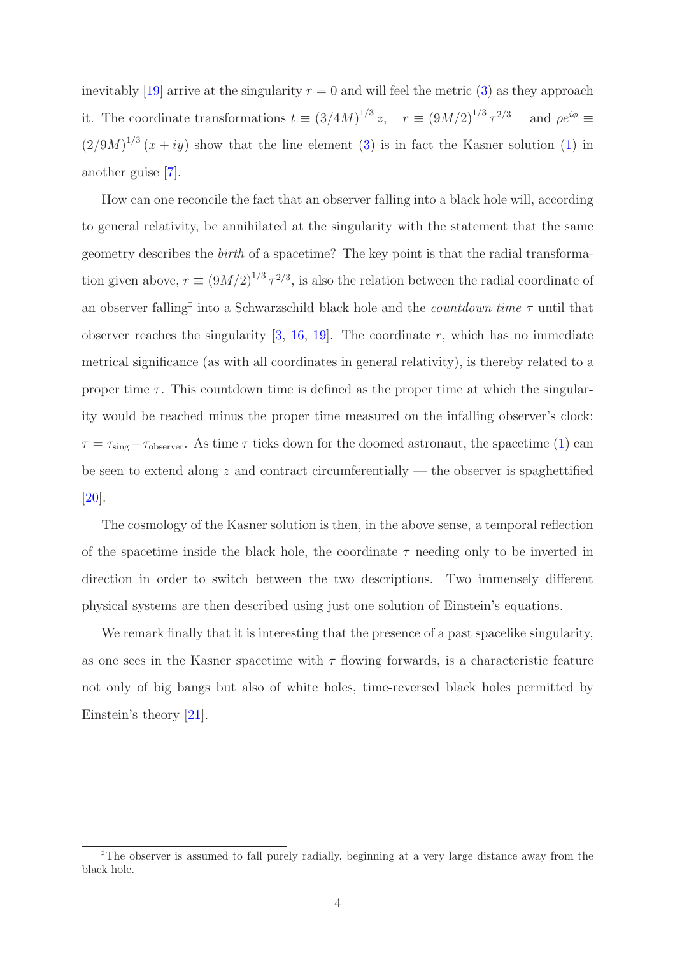inevitably [\[19\]](#page-8-5) arrive at the singularity  $r = 0$  and will feel the metric [\(3\)](#page-2-1) as they approach it. The coordinate transformations  $t \equiv (3/4M)^{1/3} z$ ,  $r \equiv (9M/2)^{1/3} \tau^{2/3}$  and  $\rho e^{i\phi} \equiv$  $(2/9M)^{1/3}$   $(x+iy)$  show that the line element [\(3\)](#page-2-1) is in fact the Kasner solution [\(1\)](#page-2-0) in another guise [\[7\]](#page-7-6).

How can one reconcile the fact that an observer falling into a black hole will, according to general relativity, be annihilated at the singularity with the statement that the same geometry describes the *birth* of a spacetime? The key point is that the radial transformation given above,  $r \equiv (9M/2)^{1/3} \tau^{2/3}$ , is also the relation between the radial coordinate of an observer falling‡ into a Schwarzschild black hole and the *countdown time* τ until that observer reaches the singularity  $[3, 16, 19]$  $[3, 16, 19]$  $[3, 16, 19]$  $[3, 16, 19]$ . The coordinate r, which has no immediate metrical significance (as with all coordinates in general relativity), is thereby related to a proper time  $\tau$ . This countdown time is defined as the proper time at which the singularity would be reached minus the proper time measured on the infalling observer's clock:  $\tau = \tau_{\text{sing}} - \tau_{\text{observer}}$ . As time  $\tau$  ticks down for the doomed astronaut, the spacetime [\(1\)](#page-2-0) can be seen to extend along  $z$  and contract circumferentially — the observer is spaghettified [\[20\]](#page-8-6).

The cosmology of the Kasner solution is then, in the above sense, a temporal reflection of the spacetime inside the black hole, the coordinate  $\tau$  needing only to be inverted in direction in order to switch between the two descriptions. Two immensely different physical systems are then described using just one solution of Einstein's equations.

We remark finally that it is interesting that the presence of a past spacelike singularity, as one sees in the Kasner spacetime with  $\tau$  flowing forwards, is a characteristic feature not only of big bangs but also of white holes, time-reversed black holes permitted by Einstein's theory [\[21\]](#page-8-7).

<sup>‡</sup>The observer is assumed to fall purely radially, beginning at a very large distance away from the black hole.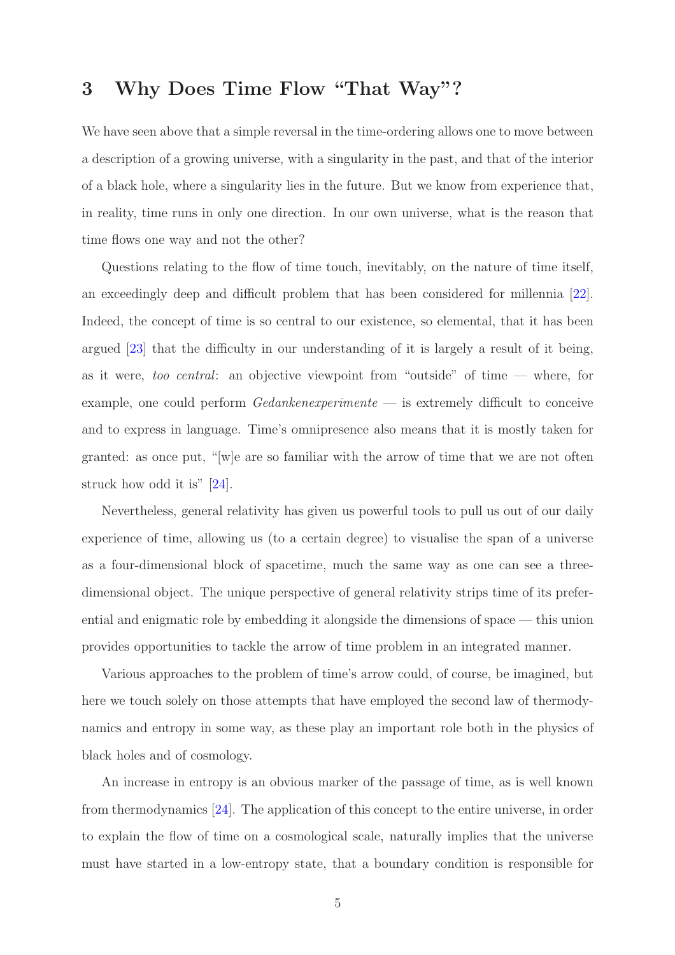## 3 Why Does Time Flow "That Way"?

We have seen above that a simple reversal in the time-ordering allows one to move between a description of a growing universe, with a singularity in the past, and that of the interior of a black hole, where a singularity lies in the future. But we know from experience that, in reality, time runs in only one direction. In our own universe, what is the reason that time flows one way and not the other?

Questions relating to the flow of time touch, inevitably, on the nature of time itself, an exceedingly deep and difficult problem that has been considered for millennia [\[22\]](#page-8-8). Indeed, the concept of time is so central to our existence, so elemental, that it has been argued [\[23\]](#page-8-9) that the difficulty in our understanding of it is largely a result of it being, as it were, *too central*: an objective viewpoint from "outside" of time — where, for example, one could perform *Gedankenexperimente* — is extremely difficult to conceive and to express in language. Time's omnipresence also means that it is mostly taken for granted: as once put, "[w]e are so familiar with the arrow of time that we are not often struck how odd it is" [\[24\]](#page-8-10).

Nevertheless, general relativity has given us powerful tools to pull us out of our daily experience of time, allowing us (to a certain degree) to visualise the span of a universe as a four-dimensional block of spacetime, much the same way as one can see a threedimensional object. The unique perspective of general relativity strips time of its preferential and enigmatic role by embedding it alongside the dimensions of space — this union provides opportunities to tackle the arrow of time problem in an integrated manner.

Various approaches to the problem of time's arrow could, of course, be imagined, but here we touch solely on those attempts that have employed the second law of thermodynamics and entropy in some way, as these play an important role both in the physics of black holes and of cosmology.

An increase in entropy is an obvious marker of the passage of time, as is well known from thermodynamics [\[24\]](#page-8-10). The application of this concept to the entire universe, in order to explain the flow of time on a cosmological scale, naturally implies that the universe must have started in a low-entropy state, that a boundary condition is responsible for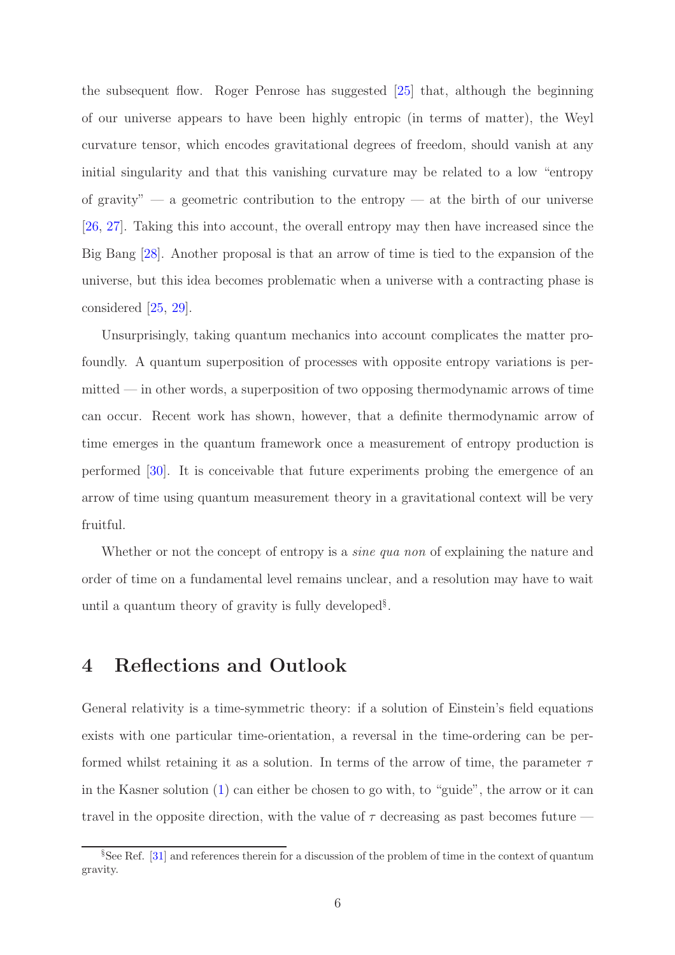the subsequent flow. Roger Penrose has suggested [\[25\]](#page-8-11) that, although the beginning of our universe appears to have been highly entropic (in terms of matter), the Weyl curvature tensor, which encodes gravitational degrees of freedom, should vanish at any initial singularity and that this vanishing curvature may be related to a low "entropy of gravity" — a geometric contribution to the entropy — at the birth of our universe [\[26,](#page-8-12) [27\]](#page-8-13). Taking this into account, the overall entropy may then have increased since the Big Bang [\[28\]](#page-8-14). Another proposal is that an arrow of time is tied to the expansion of the universe, but this idea becomes problematic when a universe with a contracting phase is considered [\[25,](#page-8-11) [29\]](#page-9-0).

Unsurprisingly, taking quantum mechanics into account complicates the matter profoundly. A quantum superposition of processes with opposite entropy variations is permitted — in other words, a superposition of two opposing thermodynamic arrows of time can occur. Recent work has shown, however, that a definite thermodynamic arrow of time emerges in the quantum framework once a measurement of entropy production is performed [\[30\]](#page-9-1). It is conceivable that future experiments probing the emergence of an arrow of time using quantum measurement theory in a gravitational context will be very fruitful.

Whether or not the concept of entropy is a *sine qua non* of explaining the nature and order of time on a fundamental level remains unclear, and a resolution may have to wait until a quantum theory of gravity is fully developed§ .

#### 4 Reflections and Outlook

General relativity is a time-symmetric theory: if a solution of Einstein's field equations exists with one particular time-orientation, a reversal in the time-ordering can be performed whilst retaining it as a solution. In terms of the arrow of time, the parameter  $\tau$ in the Kasner solution [\(1\)](#page-2-0) can either be chosen to go with, to "guide", the arrow or it can travel in the opposite direction, with the value of  $\tau$  decreasing as past becomes future —

<sup>§</sup>See Ref. [\[31\]](#page-9-2) and references therein for a discussion of the problem of time in the context of quantum gravity.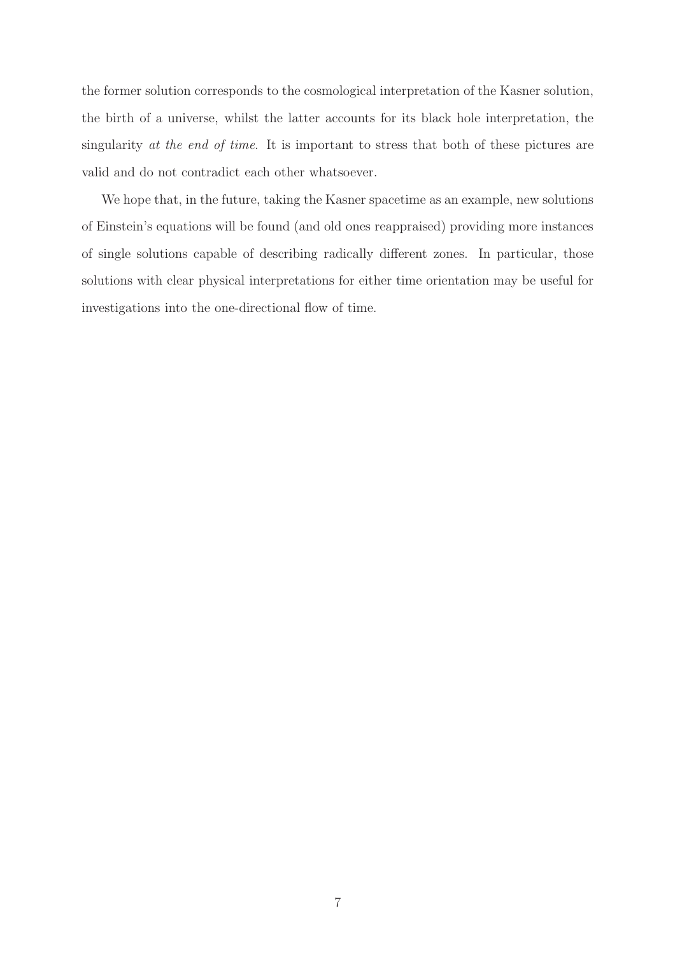the former solution corresponds to the cosmological interpretation of the Kasner solution, the birth of a universe, whilst the latter accounts for its black hole interpretation, the singularity *at the end of time*. It is important to stress that both of these pictures are valid and do not contradict each other whatsoever.

We hope that, in the future, taking the Kasner spacetime as an example, new solutions of Einstein's equations will be found (and old ones reappraised) providing more instances of single solutions capable of describing radically different zones. In particular, those solutions with clear physical interpretations for either time orientation may be useful for investigations into the one-directional flow of time.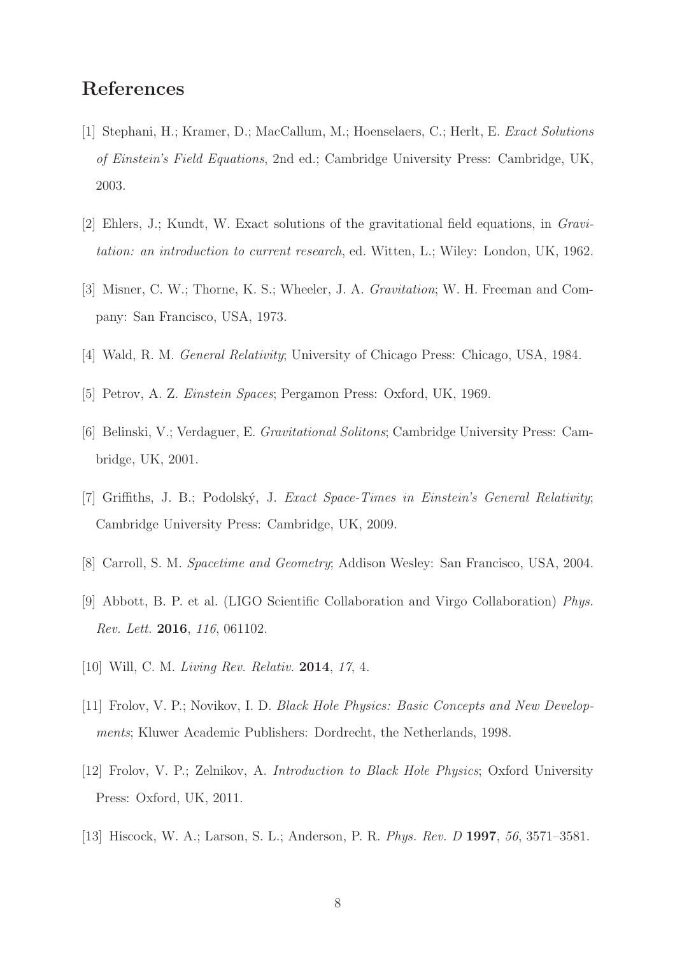### <span id="page-7-0"></span>References

- <span id="page-7-1"></span>[1] Stephani, H.; Kramer, D.; MacCallum, M.; Hoenselaers, C.; Herlt, E. *Exact Solutions of Einstein's Field Equations*, 2nd ed.; Cambridge University Press: Cambridge, UK, 2003.
- <span id="page-7-2"></span>[2] Ehlers, J.; Kundt, W. Exact solutions of the gravitational field equations, in *Gravitation: an introduction to current research*, ed. Witten, L.; Wiley: London, UK, 1962.
- <span id="page-7-3"></span>[3] Misner, C. W.; Thorne, K. S.; Wheeler, J. A. *Gravitation*; W. H. Freeman and Company: San Francisco, USA, 1973.
- <span id="page-7-4"></span>[4] Wald, R. M. *General Relativity*; University of Chicago Press: Chicago, USA, 1984.
- <span id="page-7-5"></span>[5] Petrov, A. Z. *Einstein Spaces*; Pergamon Press: Oxford, UK, 1969.
- <span id="page-7-6"></span>[6] Belinski, V.; Verdaguer, E. *Gravitational Solitons*; Cambridge University Press: Cambridge, UK, 2001.
- <span id="page-7-7"></span>[7] Griffiths, J. B.; Podolsk´y, J. *Exact Space-Times in Einstein's General Relativity*; Cambridge University Press: Cambridge, UK, 2009.
- <span id="page-7-8"></span>[8] Carroll, S. M. *Spacetime and Geometry*; Addison Wesley: San Francisco, USA, 2004.
- <span id="page-7-9"></span>[9] Abbott, B. P. et al. (LIGO Scientific Collaboration and Virgo Collaboration) *Phys. Rev. Lett.* 2016, *116*, 061102.
- <span id="page-7-10"></span>[10] Will, C. M. *Living Rev. Relativ.* 2014, *17*, 4.
- <span id="page-7-11"></span>[11] Frolov, V. P.; Novikov, I. D. *Black Hole Physics: Basic Concepts and New Developments*; Kluwer Academic Publishers: Dordrecht, the Netherlands, 1998.
- <span id="page-7-12"></span>[12] Frolov, V. P.; Zelnikov, A. *Introduction to Black Hole Physics*; Oxford University Press: Oxford, UK, 2011.
- [13] Hiscock, W. A.; Larson, S. L.; Anderson, P. R. *Phys. Rev. D* 1997, *56*, 3571–3581.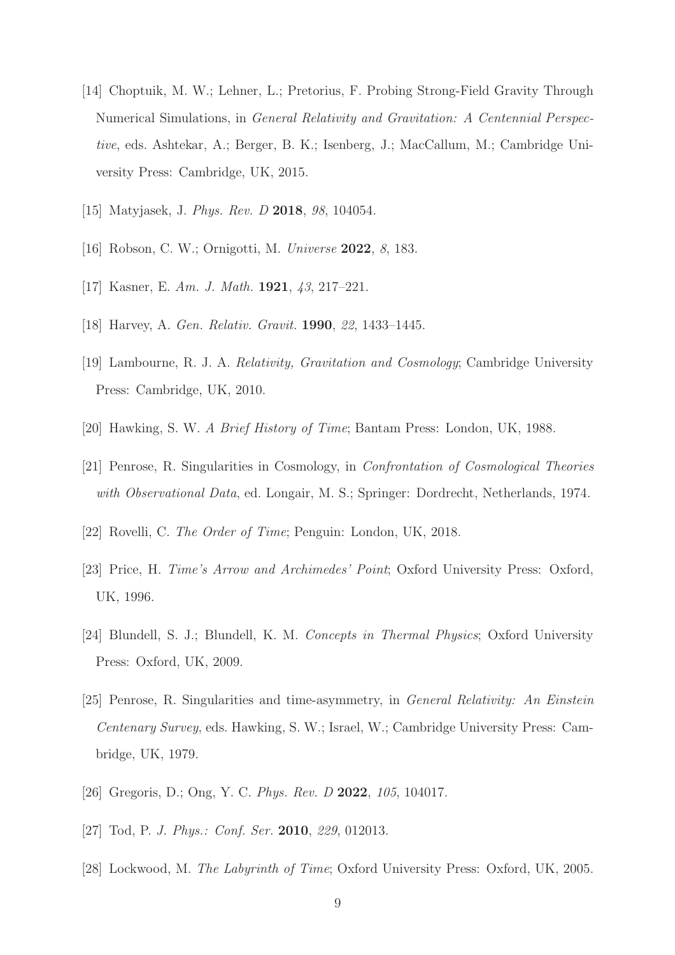- <span id="page-8-0"></span>[14] Choptuik, M. W.; Lehner, L.; Pretorius, F. Probing Strong-Field Gravity Through Numerical Simulations, in *General Relativity and Gravitation: A Centennial Perspective*, eds. Ashtekar, A.; Berger, B. K.; Isenberg, J.; MacCallum, M.; Cambridge University Press: Cambridge, UK, 2015.
- <span id="page-8-2"></span><span id="page-8-1"></span>[15] Matyjasek, J. *Phys. Rev. D* 2018, *98*, 104054.
- <span id="page-8-3"></span>[16] Robson, C. W.; Ornigotti, M. *Universe* 2022, *8*, 183.
- <span id="page-8-4"></span>[17] Kasner, E. *Am. J. Math.* 1921, *43*, 217–221.
- <span id="page-8-5"></span>[18] Harvey, A. *Gen. Relativ. Gravit.* 1990, *22*, 1433–1445.
- <span id="page-8-6"></span>[19] Lambourne, R. J. A. *Relativity, Gravitation and Cosmology*; Cambridge University Press: Cambridge, UK, 2010.
- <span id="page-8-7"></span>[20] Hawking, S. W. *A Brief History of Time*; Bantam Press: London, UK, 1988.
- <span id="page-8-8"></span>[21] Penrose, R. Singularities in Cosmology, in *Confrontation of Cosmological Theories with Observational Data*, ed. Longair, M. S.; Springer: Dordrecht, Netherlands, 1974.
- <span id="page-8-9"></span>[22] Rovelli, C. *The Order of Time*; Penguin: London, UK, 2018.
- <span id="page-8-10"></span>[23] Price, H. *Time's Arrow and Archimedes' Point*; Oxford University Press: Oxford, UK, 1996.
- <span id="page-8-11"></span>[24] Blundell, S. J.; Blundell, K. M. *Concepts in Thermal Physics*; Oxford University Press: Oxford, UK, 2009.
- [25] Penrose, R. Singularities and time-asymmetry, in *General Relativity: An Einstein Centenary Survey*, eds. Hawking, S. W.; Israel, W.; Cambridge University Press: Cambridge, UK, 1979.
- <span id="page-8-13"></span><span id="page-8-12"></span>[26] Gregoris, D.; Ong, Y. C. *Phys. Rev. D* 2022, *105*, 104017.
- <span id="page-8-14"></span>[27] Tod, P. *J. Phys.: Conf. Ser.* 2010, *229*, 012013.
- [28] Lockwood, M. *The Labyrinth of Time*; Oxford University Press: Oxford, UK, 2005.